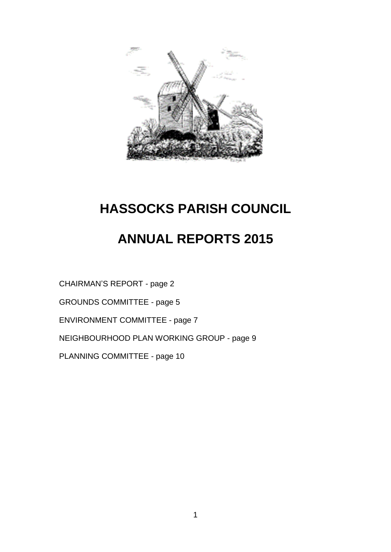

# **ANNUAL REPORTS 2015**

CHAIRMAN'S REPORT - page 2

GROUNDS COMMITTEE - page 5

ENVIRONMENT COMMITTEE - page 7

NEIGHBOURHOOD PLAN WORKING GROUP - page 9

PLANNING COMMITTEE - page 10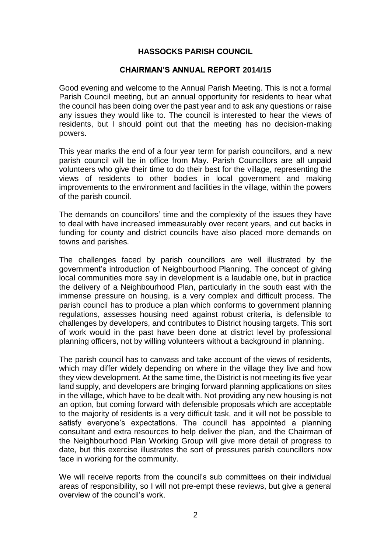#### **CHAIRMAN'S ANNUAL REPORT 2014/15**

Good evening and welcome to the Annual Parish Meeting. This is not a formal Parish Council meeting, but an annual opportunity for residents to hear what the council has been doing over the past year and to ask any questions or raise any issues they would like to. The council is interested to hear the views of residents, but I should point out that the meeting has no decision-making powers.

This year marks the end of a four year term for parish councillors, and a new parish council will be in office from May. Parish Councillors are all unpaid volunteers who give their time to do their best for the village, representing the views of residents to other bodies in local government and making improvements to the environment and facilities in the village, within the powers of the parish council.

The demands on councillors' time and the complexity of the issues they have to deal with have increased immeasurably over recent years, and cut backs in funding for county and district councils have also placed more demands on towns and parishes.

The challenges faced by parish councillors are well illustrated by the government's introduction of Neighbourhood Planning. The concept of giving local communities more say in development is a laudable one, but in practice the delivery of a Neighbourhood Plan, particularly in the south east with the immense pressure on housing, is a very complex and difficult process. The parish council has to produce a plan which conforms to government planning regulations, assesses housing need against robust criteria, is defensible to challenges by developers, and contributes to District housing targets. This sort of work would in the past have been done at district level by professional planning officers, not by willing volunteers without a background in planning.

The parish council has to canvass and take account of the views of residents, which may differ widely depending on where in the village they live and how they view development. At the same time, the District is not meeting its five year land supply, and developers are bringing forward planning applications on sites in the village, which have to be dealt with. Not providing any new housing is not an option, but coming forward with defensible proposals which are acceptable to the majority of residents is a very difficult task, and it will not be possible to satisfy everyone's expectations. The council has appointed a planning consultant and extra resources to help deliver the plan, and the Chairman of the Neighbourhood Plan Working Group will give more detail of progress to date, but this exercise illustrates the sort of pressures parish councillors now face in working for the community.

We will receive reports from the council's sub committees on their individual areas of responsibility, so I will not pre-empt these reviews, but give a general overview of the council's work.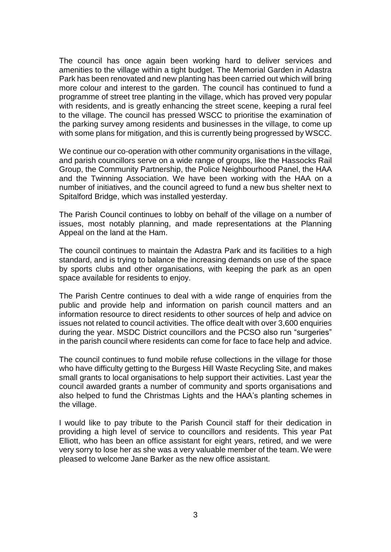The council has once again been working hard to deliver services and amenities to the village within a tight budget. The Memorial Garden in Adastra Park has been renovated and new planting has been carried out which will bring more colour and interest to the garden. The council has continued to fund a programme of street tree planting in the village, which has proved very popular with residents, and is greatly enhancing the street scene, keeping a rural feel to the village. The council has pressed WSCC to prioritise the examination of the parking survey among residents and businesses in the village, to come up with some plans for mitigation, and this is currently being progressed by WSCC.

We continue our co-operation with other community organisations in the village, and parish councillors serve on a wide range of groups, like the Hassocks Rail Group, the Community Partnership, the Police Neighbourhood Panel, the HAA and the Twinning Association. We have been working with the HAA on a number of initiatives, and the council agreed to fund a new bus shelter next to Spitalford Bridge, which was installed yesterday.

The Parish Council continues to lobby on behalf of the village on a number of issues, most notably planning, and made representations at the Planning Appeal on the land at the Ham.

The council continues to maintain the Adastra Park and its facilities to a high standard, and is trying to balance the increasing demands on use of the space by sports clubs and other organisations, with keeping the park as an open space available for residents to enjoy.

The Parish Centre continues to deal with a wide range of enquiries from the public and provide help and information on parish council matters and an information resource to direct residents to other sources of help and advice on issues not related to council activities. The office dealt with over 3,600 enquiries during the year. MSDC District councillors and the PCSO also run "surgeries" in the parish council where residents can come for face to face help and advice.

The council continues to fund mobile refuse collections in the village for those who have difficulty getting to the Burgess Hill Waste Recycling Site, and makes small grants to local organisations to help support their activities. Last year the council awarded grants a number of community and sports organisations and also helped to fund the Christmas Lights and the HAA's planting schemes in the village.

I would like to pay tribute to the Parish Council staff for their dedication in providing a high level of service to councillors and residents. This year Pat Elliott, who has been an office assistant for eight years, retired, and we were very sorry to lose her as she was a very valuable member of the team. We were pleased to welcome Jane Barker as the new office assistant.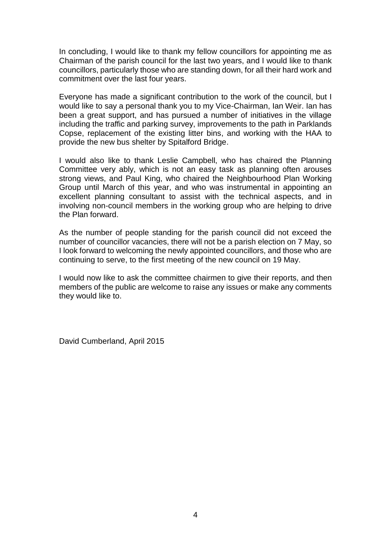In concluding, I would like to thank my fellow councillors for appointing me as Chairman of the parish council for the last two years, and I would like to thank councillors, particularly those who are standing down, for all their hard work and commitment over the last four years.

Everyone has made a significant contribution to the work of the council, but I would like to say a personal thank you to my Vice-Chairman, Ian Weir. Ian has been a great support, and has pursued a number of initiatives in the village including the traffic and parking survey, improvements to the path in Parklands Copse, replacement of the existing litter bins, and working with the HAA to provide the new bus shelter by Spitalford Bridge.

I would also like to thank Leslie Campbell, who has chaired the Planning Committee very ably, which is not an easy task as planning often arouses strong views, and Paul King, who chaired the Neighbourhood Plan Working Group until March of this year, and who was instrumental in appointing an excellent planning consultant to assist with the technical aspects, and in involving non-council members in the working group who are helping to drive the Plan forward.

As the number of people standing for the parish council did not exceed the number of councillor vacancies, there will not be a parish election on 7 May, so I look forward to welcoming the newly appointed councillors, and those who are continuing to serve, to the first meeting of the new council on 19 May.

I would now like to ask the committee chairmen to give their reports, and then members of the public are welcome to raise any issues or make any comments they would like to.

David Cumberland, April 2015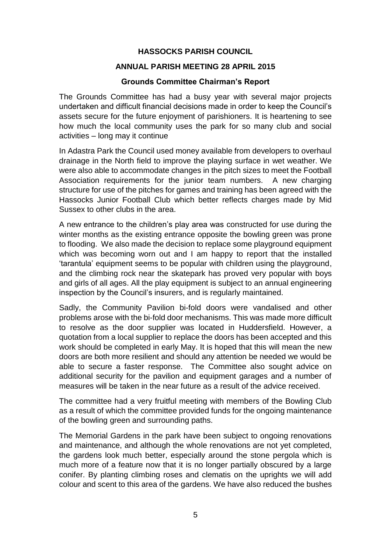# **ANNUAL PARISH MEETING 28 APRIL 2015**

# **Grounds Committee Chairman's Report**

The Grounds Committee has had a busy year with several major projects undertaken and difficult financial decisions made in order to keep the Council's assets secure for the future enjoyment of parishioners. It is heartening to see how much the local community uses the park for so many club and social activities – long may it continue

In Adastra Park the Council used money available from developers to overhaul drainage in the North field to improve the playing surface in wet weather. We were also able to accommodate changes in the pitch sizes to meet the Football Association requirements for the junior team numbers. A new charging structure for use of the pitches for games and training has been agreed with the Hassocks Junior Football Club which better reflects charges made by Mid Sussex to other clubs in the area.

A new entrance to the children's play area was constructed for use during the winter months as the existing entrance opposite the bowling green was prone to flooding. We also made the decision to replace some playground equipment which was becoming worn out and I am happy to report that the installed 'tarantula' equipment seems to be popular with children using the playground, and the climbing rock near the skatepark has proved very popular with boys and girls of all ages. All the play equipment is subject to an annual engineering inspection by the Council's insurers, and is regularly maintained.

Sadly, the Community Pavilion bi-fold doors were vandalised and other problems arose with the bi-fold door mechanisms. This was made more difficult to resolve as the door supplier was located in Huddersfield. However, a quotation from a local supplier to replace the doors has been accepted and this work should be completed in early May. It is hoped that this will mean the new doors are both more resilient and should any attention be needed we would be able to secure a faster response. The Committee also sought advice on additional security for the pavilion and equipment garages and a number of measures will be taken in the near future as a result of the advice received.

The committee had a very fruitful meeting with members of the Bowling Club as a result of which the committee provided funds for the ongoing maintenance of the bowling green and surrounding paths.

The Memorial Gardens in the park have been subject to ongoing renovations and maintenance, and although the whole renovations are not yet completed, the gardens look much better, especially around the stone pergola which is much more of a feature now that it is no longer partially obscured by a large conifer. By planting climbing roses and clematis on the uprights we will add colour and scent to this area of the gardens. We have also reduced the bushes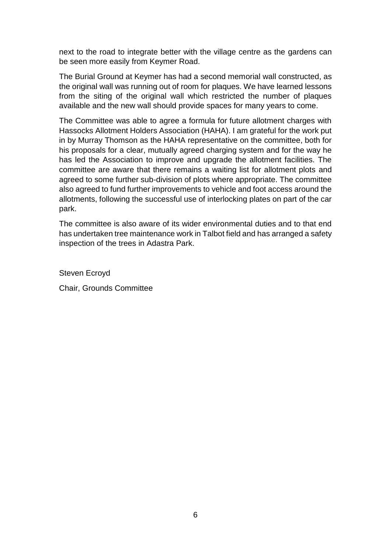next to the road to integrate better with the village centre as the gardens can be seen more easily from Keymer Road.

The Burial Ground at Keymer has had a second memorial wall constructed, as the original wall was running out of room for plaques. We have learned lessons from the siting of the original wall which restricted the number of plaques available and the new wall should provide spaces for many years to come.

The Committee was able to agree a formula for future allotment charges with Hassocks Allotment Holders Association (HAHA). I am grateful for the work put in by Murray Thomson as the HAHA representative on the committee, both for his proposals for a clear, mutually agreed charging system and for the way he has led the Association to improve and upgrade the allotment facilities. The committee are aware that there remains a waiting list for allotment plots and agreed to some further sub-division of plots where appropriate. The committee also agreed to fund further improvements to vehicle and foot access around the allotments, following the successful use of interlocking plates on part of the car park.

The committee is also aware of its wider environmental duties and to that end has undertaken tree maintenance work in Talbot field and has arranged a safety inspection of the trees in Adastra Park.

Steven Ecroyd

Chair, Grounds Committee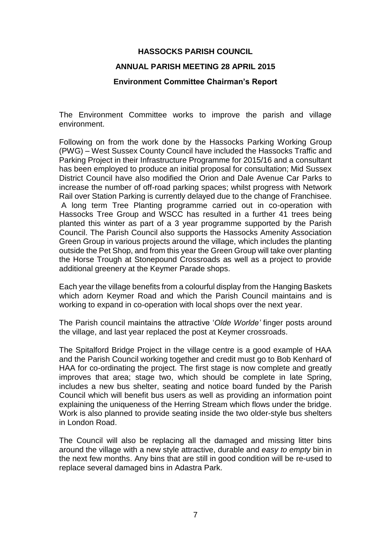#### **ANNUAL PARISH MEETING 28 APRIL 2015**

#### **Environment Committee Chairman's Report**

The Environment Committee works to improve the parish and village environment.

Following on from the work done by the Hassocks Parking Working Group (PWG) – West Sussex County Council have included the Hassocks Traffic and Parking Project in their Infrastructure Programme for 2015/16 and a consultant has been employed to produce an initial proposal for consultation; Mid Sussex District Council have also modified the Orion and Dale Avenue Car Parks to increase the number of off-road parking spaces; whilst progress with Network Rail over Station Parking is currently delayed due to the change of Franchisee. A long term Tree Planting programme carried out in co-operation with Hassocks Tree Group and WSCC has resulted in a further 41 trees being planted this winter as part of a 3 year programme supported by the Parish Council. The Parish Council also supports the Hassocks Amenity Association Green Group in various projects around the village, which includes the planting outside the Pet Shop, and from this year the Green Group will take over planting the Horse Trough at Stonepound Crossroads as well as a project to provide additional greenery at the Keymer Parade shops.

Each year the village benefits from a colourful display from the Hanging Baskets which adorn Keymer Road and which the Parish Council maintains and is working to expand in co-operation with local shops over the next year.

The Parish council maintains the attractive '*Olde Worlde'* finger posts around the village, and last year replaced the post at Keymer crossroads.

The Spitalford Bridge Project in the village centre is a good example of HAA and the Parish Council working together and credit must go to Bob Kenhard of HAA for co-ordinating the project. The first stage is now complete and greatly improves that area; stage two, which should be complete in late Spring, includes a new bus shelter, seating and notice board funded by the Parish Council which will benefit bus users as well as providing an information point explaining the uniqueness of the Herring Stream which flows under the bridge. Work is also planned to provide seating inside the two older-style bus shelters in London Road.

The Council will also be replacing all the damaged and missing litter bins around the village with a new style attractive, durable and *easy to empty* bin in the next few months. Any bins that are still in good condition will be re-used to replace several damaged bins in Adastra Park.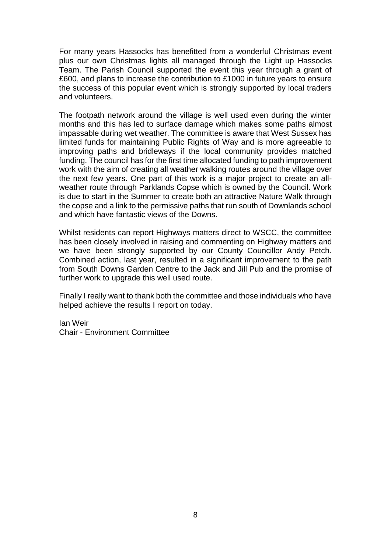For many years Hassocks has benefitted from a wonderful Christmas event plus our own Christmas lights all managed through the Light up Hassocks Team. The Parish Council supported the event this year through a grant of £600, and plans to increase the contribution to £1000 in future years to ensure the success of this popular event which is strongly supported by local traders and volunteers.

The footpath network around the village is well used even during the winter months and this has led to surface damage which makes some paths almost impassable during wet weather. The committee is aware that West Sussex has limited funds for maintaining Public Rights of Way and is more agreeable to improving paths and bridleways if the local community provides matched funding. The council has for the first time allocated funding to path improvement work with the aim of creating all weather walking routes around the village over the next few years. One part of this work is a major project to create an allweather route through Parklands Copse which is owned by the Council. Work is due to start in the Summer to create both an attractive Nature Walk through the copse and a link to the permissive paths that run south of Downlands school and which have fantastic views of the Downs.

Whilst residents can report Highways matters direct to WSCC, the committee has been closely involved in raising and commenting on Highway matters and we have been strongly supported by our County Councillor Andy Petch. Combined action, last year, resulted in a significant improvement to the path from South Downs Garden Centre to the Jack and Jill Pub and the promise of further work to upgrade this well used route.

Finally I really want to thank both the committee and those individuals who have helped achieve the results I report on today.

Ian Weir Chair - Environment Committee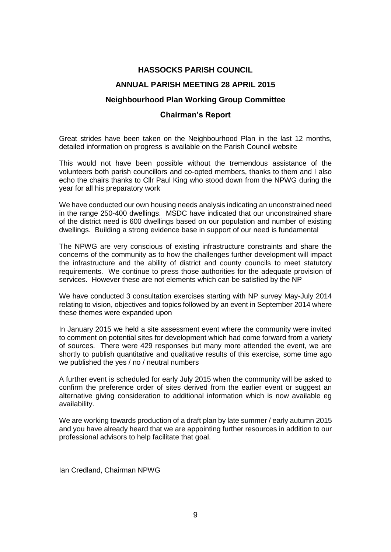# **ANNUAL PARISH MEETING 28 APRIL 2015**

#### **Neighbourhood Plan Working Group Committee**

#### **Chairman's Report**

Great strides have been taken on the Neighbourhood Plan in the last 12 months, detailed information on progress is available on the Parish Council website

This would not have been possible without the tremendous assistance of the volunteers both parish councillors and co-opted members, thanks to them and I also echo the chairs thanks to Cllr Paul King who stood down from the NPWG during the year for all his preparatory work

We have conducted our own housing needs analysis indicating an unconstrained need in the range 250-400 dwellings. MSDC have indicated that our unconstrained share of the district need is 600 dwellings based on our population and number of existing dwellings. Building a strong evidence base in support of our need is fundamental

The NPWG are very conscious of existing infrastructure constraints and share the concerns of the community as to how the challenges further development will impact the infrastructure and the ability of district and county councils to meet statutory requirements. We continue to press those authorities for the adequate provision of services. However these are not elements which can be satisfied by the NP

We have conducted 3 consultation exercises starting with NP survey May-July 2014 relating to vision, objectives and topics followed by an event in September 2014 where these themes were expanded upon

In January 2015 we held a site assessment event where the community were invited to comment on potential sites for development which had come forward from a variety of sources. There were 429 responses but many more attended the event, we are shortly to publish quantitative and qualitative results of this exercise, some time ago we published the yes / no / neutral numbers

A further event is scheduled for early July 2015 when the community will be asked to confirm the preference order of sites derived from the earlier event or suggest an alternative giving consideration to additional information which is now available eg availability.

We are working towards production of a draft plan by late summer / early autumn 2015 and you have already heard that we are appointing further resources in addition to our professional advisors to help facilitate that goal.

Ian Credland, Chairman NPWG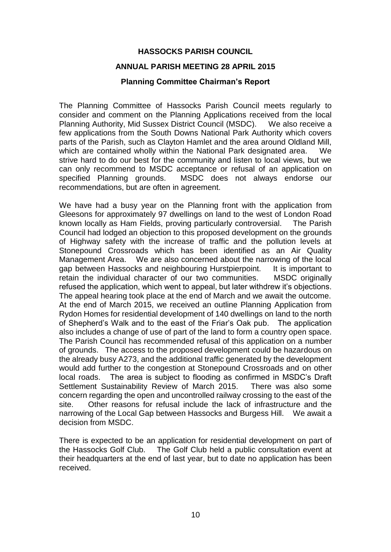#### **ANNUAL PARISH MEETING 28 APRIL 2015**

# **Planning Committee Chairman's Report**

The Planning Committee of Hassocks Parish Council meets regularly to consider and comment on the Planning Applications received from the local Planning Authority, Mid Sussex District Council (MSDC). We also receive a few applications from the South Downs National Park Authority which covers parts of the Parish, such as Clayton Hamlet and the area around Oldland Mill, which are contained wholly within the National Park designated area. We strive hard to do our best for the community and listen to local views, but we can only recommend to MSDC acceptance or refusal of an application on specified Planning grounds. MSDC does not always endorse our recommendations, but are often in agreement.

We have had a busy year on the Planning front with the application from Gleesons for approximately 97 dwellings on land to the west of London Road known locally as Ham Fields, proving particularly controversial. The Parish Council had lodged an objection to this proposed development on the grounds of Highway safety with the increase of traffic and the pollution levels at Stonepound Crossroads which has been identified as an Air Quality Management Area. We are also concerned about the narrowing of the local gap between Hassocks and neighbouring Hurstpierpoint. It is important to retain the individual character of our two communities. MSDC originally refused the application, which went to appeal, but later withdrew it's objections. The appeal hearing took place at the end of March and we await the outcome. At the end of March 2015, we received an outline Planning Application from Rydon Homes for residential development of 140 dwellings on land to the north of Shepherd's Walk and to the east of the Friar's Oak pub. The application also includes a change of use of part of the land to form a country open space. The Parish Council has recommended refusal of this application on a number of grounds. The access to the proposed development could be hazardous on the already busy A273, and the additional traffic generated by the development would add further to the congestion at Stonepound Crossroads and on other local roads. The area is subject to flooding as confirmed in MSDC's Draft Settlement Sustainability Review of March 2015. There was also some concern regarding the open and uncontrolled railway crossing to the east of the site. Other reasons for refusal include the lack of infrastructure and the narrowing of the Local Gap between Hassocks and Burgess Hill. We await a decision from MSDC.

There is expected to be an application for residential development on part of the Hassocks Golf Club. The Golf Club held a public consultation event at their headquarters at the end of last year, but to date no application has been received.